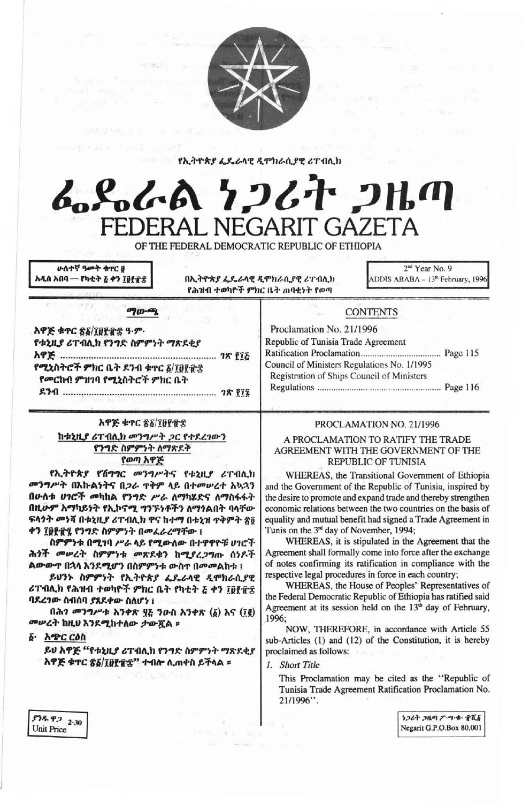

የኢትዮጵያ ፌዴራላዊ ዲሞክራሲያዊ ሪፐብሊክ

# んとんへ ケンムナ コルの FEDERAL NEGARIT GAZETA

OF THE FEDERAL DEMOCRATIC REPUBLIC OF ETHIOPIA

**ሁለተኛ ዓመት ቁተር ፀ** አዲስ አበባ — የካቲት ፩ ቀን ፲፱፻፹፰

Send the Control of Lines

staviki v olim i filmir fil

በኢትዮጵያ ፌዴራላዊ ዲሞክራሲያዊ ሪፐብሊክ የሕዝብ ተወካዮች ምክር ቤት ጠባቂነት የወጣ

2<sup>nd</sup> Year No. 9 ADDIS ABABA - 13<sup>th</sup> February, 1996

### 7ற-ஆ

| አዋጅ ቁጥር ጽ፩/፲፱፻፹፰ ዓ.ም.          |  |
|--------------------------------|--|
| የቱኒዚያ ሪፐብሊክ የንግድ ስምምነት ማጽደቂያ   |  |
|                                |  |
| የሚኒስትሮች ምክር ቤት ደንብ ቁተር ፩/፲፱፻፹፰ |  |
| የመርከብ ምዝገባ የሚኒስትሮች ምክር ቤት      |  |
|                                |  |

## አዋጅ ቁጥር ጽ፩/፲፱፻፹፰ ከቱኒዚያ ሪፐብሊክ መንግሥት ጋር የተደረገውን የንግድ ስምምነት ለማጽደቅ የወጣ አዋጅ

የኢትዮጵያ የሽግግር መንግሥትና የቱኒዚያ ሪፐብሊክ መንግሥት በእኩልነትና በ*ጋ*ራ **ተቅም ላይ በተመ**ሠረተ አኳኋን በሁለቱ ሀገሮች መካከል የንግድ ሥራ ለማካሄድና ለማስፋፋት በዚሁም አማካይነት የኢኮኖሚ ግንኙነቶችን ለማነልበት ባላቸው ፍላንት መንሻ በቱኒዚያ ሪፐብሊክ ዋና ከተማ በቱኒዝ ጥቅምት ጽ፬ ቀን ፲፱፻፹፯ የንግድ ስምምነት በመፈራረማቸው ፤

ስምምነቱ በሚገባ ሥራ ላይ የሚውለው በተዋዋዮቹ ሀገሮች ሕጎች መሠረት ስምምነቱ መጽደቁን ከሚያረጋግጡ ሰነዶች ልውውጥ በኋላ እንደሚሆን በስምምነቱ ውስጥ በመመልከቱ ፤

ይሀንኑ ስምምነት የኢትዮጵያ ፌዴራላዊ ዲሞክራሲያዊ ሪፐብሊክ የሕዝብ ተወካዮች ምክር ቤት የካቲት ፩ ቀን ፲፱፻፹፰ ባደረገው ስብሰባ ያጸደቀው ስለሆነ ፤

በሕገ መንግሥቱ አንቀጽ ፶፩ ንዑስ አንቀጽ (፩) እና (፲፪) መሥረት ከዚሀ እንደሚከተለው ታውጇል ፡፡

፩· አጭር ርዕስ

ይሀ አዋጅ "የቱኒዚያ ሪፐብሊክ የንግድ ስምምነት ማጽደቂያ **አዋጅ ቁዋር ጽ፩/፲፱፻፹፰'' ተብሎ ሲጠቀስ ይችላል ፡፡** 

#### PROCLAMATION NO. 21/1996

**CONTENTS** 

Proclamation No. 21/1996

Republic of Tunisia Trade Agreement

Council of Ministers Regulations No. 1/1995 Registration of Ships Council of Ministers

#### A PROCLAMATION TO RATIFY THE TRADE AGREEMENT WITH THE GOVERNMENT OF THE **REPUBLIC OF TUNISIA**

WHEREAS, the Transitional Government of Ethiopia and the Government of the Republic of Tunisia, inspired by the desire to promote and expand trade and thereby strengthen economic relations between the two countries on the basis of equality and mutual benefit had signed a Trade Agreement in Tunis on the 3<sup>rd</sup> day of November, 1994;

WHEREAS, it is stipulated in the Agreement that the Agreement shall formally come into force after the exchange of notes confirming its ratification in compliance with the respective legal procedures in force in each country;

WHEREAS, the House of Peoples' Representatives of the Federal Democratic Republic of Ethiopia has ratified said Agreement at its session held on the 13<sup>th</sup> day of February, 1996:

NOW, THEREFORE, in accordance with Article 55 sub-Articles (1) and (12) of the Constitution, it is hereby proclaimed as follows:

1. Short Title

This Proclamation may be cited as the "Republic of Tunisia Trade Agreement Ratification Proclamation No. 21/1996".

> ነጋሪት ጋዜጣ ፖ-ሣ-ቁ- ተሺል Negarit G.P.O.Box 80,001

 $P$ <sup>3</sup>*8*  $P$ <sup>2</sup> 2.30 **Unit Price**